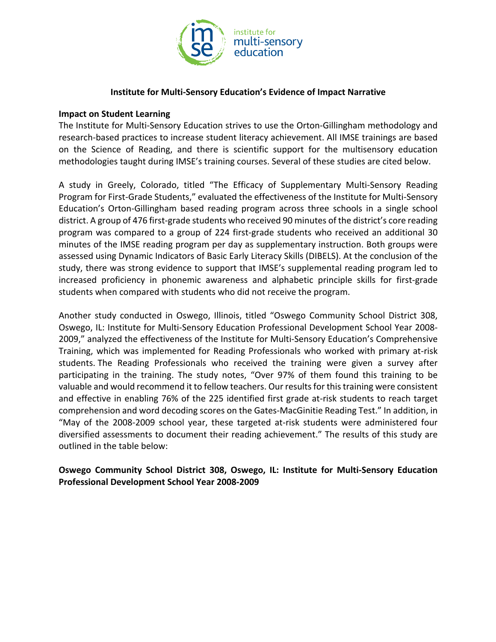

## **Institute for Multi-Sensory Education's Evidence of Impact Narrative**

## **Impact on Student Learning**

The Institute for Multi-Sensory Education strives to use the Orton-Gillingham methodology and research-based practices to increase student literacy achievement. All IMSE trainings are based on the Science of Reading, and there is scientific support for the multisensory education methodologies taught during IMSE's training courses. Several of these studies are cited below.

A study in Greely, Colorado, titled "The Efficacy of Supplementary Multi-Sensory Reading Program for First-Grade Students," evaluated the effectiveness of the Institute for Multi-Sensory Education's Orton-Gillingham based reading program across three schools in a single school district. A group of 476 first-grade students who received 90 minutes of the district's core reading program was compared to a group of 224 first-grade students who received an additional 30 minutes of the IMSE reading program per day as supplementary instruction. Both groups were assessed using Dynamic Indicators of Basic Early Literacy Skills (DIBELS). At the conclusion of the study, there was strong evidence to support that IMSE's supplemental reading program led to increased proficiency in phonemic awareness and alphabetic principle skills for first-grade students when compared with students who did not receive the program.

Another study conducted in Oswego, Illinois, titled "Oswego Community School District 308, Oswego, IL: Institute for Multi-Sensory Education Professional Development School Year 2008- 2009," analyzed the effectiveness of the Institute for Multi-Sensory Education's Comprehensive Training, which was implemented for Reading Professionals who worked with primary at-risk students. The Reading Professionals who received the training were given a survey after participating in the training. The study notes, "Over 97% of them found this training to be valuable and would recommend it to fellow teachers. Our results for this training were consistent and effective in enabling 76% of the 225 identified first grade at-risk students to reach target comprehension and word decoding scores on the Gates-MacGinitie Reading Test." In addition, in "May of the 2008-2009 school year, these targeted at-risk students were administered four diversified assessments to document their reading achievement." The results of this study are outlined in the table below:

## **Oswego Community School District 308, Oswego, IL: Institute for Multi-Sensory Education Professional Development School Year 2008-2009**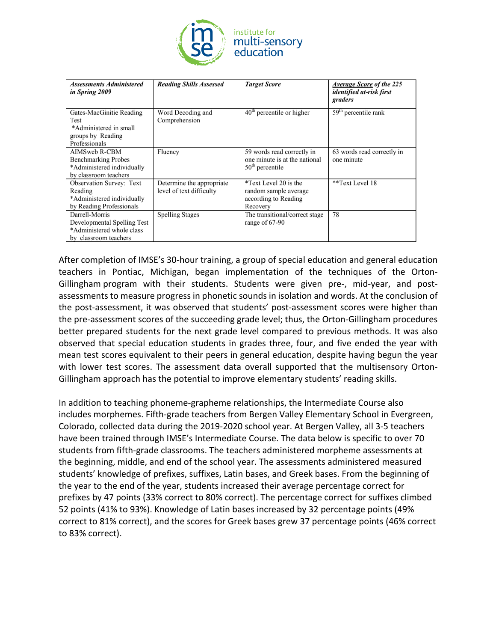

| <b>Assessments Administered</b><br>in Spring 2009                                                    | <b>Reading Skills Assessed</b>                         | <b>Target Score</b>                                                                | <b>Average Score of the 225</b><br>identified at-risk first<br>graders |
|------------------------------------------------------------------------------------------------------|--------------------------------------------------------|------------------------------------------------------------------------------------|------------------------------------------------------------------------|
| Gates-MacGinitie Reading<br>Test<br>*Administered in small<br>groups by Reading<br>Professionals     | Word Decoding and<br>Comprehension                     | $40th$ percentile or higher                                                        | $59th$ percentile rank                                                 |
| AIMSweb R-CBM<br><b>Benchmarking Probes</b><br>*Administered individually<br>by classroom teachers   | Fluency                                                | 59 words read correctly in<br>one minute is at the national<br>$50th$ percentile   | 63 words read correctly in<br>one minute                               |
| <b>Observation Survey: Text</b><br>Reading<br>*Administered individually<br>by Reading Professionals | Determine the appropriate.<br>level of text difficulty | *Text Level 20 is the<br>random sample average<br>according to Reading<br>Recovery | **Text Level 18                                                        |
| Darrell-Morris<br>Developmental Spelling Test<br>*Administered whole class<br>by classroom teachers  | <b>Spelling Stages</b>                                 | The transitional/correct stage<br>range of $67-90$                                 | 78                                                                     |

After completion of IMSE's 30-hour training, a group of special education and general education teachers in Pontiac, Michigan, began implementation of the techniques of the Orton-Gillingham program with their students. Students were given pre-, mid-year, and postassessments to measure progress in phonetic sounds in isolation and words. At the conclusion of the post-assessment, it was observed that students' post-assessment scores were higher than the pre-assessment scores of the succeeding grade level; thus, the Orton-Gillingham procedures better prepared students for the next grade level compared to previous methods. It was also observed that special education students in grades three, four, and five ended the year with mean test scores equivalent to their peers in general education, despite having begun the year with lower test scores. The assessment data overall supported that the multisensory Orton-Gillingham approach has the potential to improve elementary students' reading skills.

In addition to teaching phoneme-grapheme relationships, the Intermediate Course also includes morphemes. Fifth-grade teachers from Bergen Valley Elementary School in Evergreen, Colorado, collected data during the 2019-2020 school year. At Bergen Valley, all 3-5 teachers have been trained through IMSE's Intermediate Course. The data below is specific to over 70 students from fifth-grade classrooms. The teachers administered morpheme assessments at the beginning, middle, and end of the school year. The assessments administered measured students' knowledge of prefixes, suffixes, Latin bases, and Greek bases. From the beginning of the year to the end of the year, students increased their average percentage correct for prefixes by 47 points (33% correct to 80% correct). The percentage correct for suffixes climbed 52 points (41% to 93%). Knowledge of Latin bases increased by 32 percentage points (49% correct to 81% correct), and the scores for Greek bases grew 37 percentage points (46% correct to 83% correct).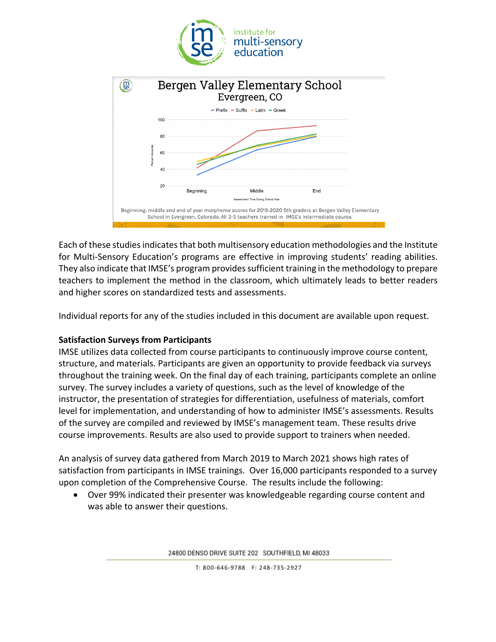



Each of these studies indicates that both multisensory education methodologies and the Institute for Multi-Sensory Education's programs are effective in improving students' reading abilities. They also indicate that IMSE's program provides sufficient training in the methodology to prepare teachers to implement the method in the classroom, which ultimately leads to better readers and higher scores on standardized tests and assessments.

Individual reports for any of the studies included in this document are available upon request.

## **Satisfaction Surveys from Participants**

IMSE utilizes data collected from course participants to continuously improve course content, structure, and materials. Participants are given an opportunity to provide feedback via surveys throughout the training week. On the final day of each training, participants complete an online survey. The survey includes a variety of questions, such as the level of knowledge of the instructor, the presentation of strategies for differentiation, usefulness of materials, comfort level for implementation, and understanding of how to administer IMSE's assessments. Results of the survey are compiled and reviewed by IMSE's management team. These results drive course improvements. Results are also used to provide support to trainers when needed.

An analysis of survey data gathered from March 2019 to March 2021 shows high rates of satisfaction from participants in IMSE trainings. Over 16,000 participants responded to a survey upon completion of the Comprehensive Course. The results include the following:

• Over 99% indicated their presenter was knowledgeable regarding course content and was able to answer their questions.

24800 DENSO DRIVE SUITE 202 SOUTHFIELD, MI 48033

T: 800-646-9788 F: 248-735-2927